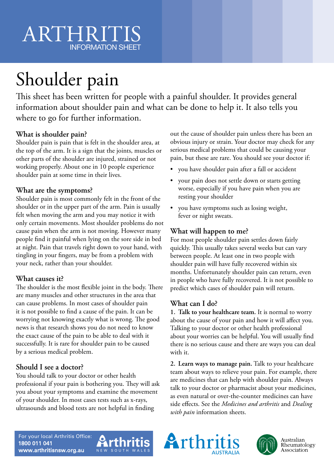# Shoulder pain

This sheet has been written for people with a painful shoulder. It provides general information about shoulder pain and what can be done to help it. It also tells you where to go for further information.

### **What is shoulder pain?**

Shoulder pain is pain that is felt in the shoulder area, at the top of the arm. It is a sign that the joints, muscles or other parts of the shoulder are injured, strained or not working properly. About one in 10 people experience shoulder pain at some time in their lives.

#### **What are the symptoms?**

Shoulder pain is most commonly felt in the front of the shoulder or in the upper part of the arm. Pain is usually felt when moving the arm and you may notice it with only certain movements. Most shoulder problems do not cause pain when the arm is not moving. However many people find it painful when lying on the sore side in bed at night. Pain that travels right down to your hand, with tingling in your fingers, may be from a problem with your neck, rather than your shoulder.

#### **What causes it?**

The shoulder is the most flexible joint in the body. There are many muscles and other structures in the area that can cause problems. In most cases of shoulder pain it is not possible to find a cause of the pain. It can be worrying not knowing exactly what is wrong. The good news is that research shows you do not need to know the exact cause of the pain to be able to deal with it successfully. It is rare for shoulder pain to be caused by a serious medical problem.

#### **Should I see a doctor?**

You should talk to your doctor or other health professional if your pain is bothering you. They will ask you about your symptoms and examine the movement of your shoulder. In most cases tests such as x-rays, ultrasounds and blood tests are not helpful in finding

out the cause of shoulder pain unless there has been an obvious injury or strain. Your doctor may check for any serious medical problems that could be causing your pain, but these are rare. You should see your doctor if:

- you have shoulder pain after a fall or accident
- your pain does not settle down or starts getting worse, especially if you have pain when you are resting your shoulder
- you have symptoms such as losing weight, fever or night sweats.

#### **What will happen to me?**

For most people shoulder pain settles down fairly quickly. This usually takes several weeks but can vary between people. At least one in two people with shoulder pain will have fully recovered within six months. Unfortunately shoulder pain can return, even in people who have fully recovered. It is not possible to predict which cases of shoulder pain will return.

#### **What can I do?**

**1. Talk to your healthcare team.** It is normal to worry about the cause of your pain and how it will affect you. Talking to your doctor or other health professional about your worries can be helpful. You will usually find there is no serious cause and there are ways you can deal with it.

**2. Learn ways to manage pain.** Talk to your healthcare team about ways to relieve your pain. For example, there are medicines that can help with shoulder pain. Always talk to your doctor or pharmacist about your medicines, as even natural or over-the-counter medicines can have side effects. See the *Medicines and arthritis* and *Dealing with pain* information sheets.